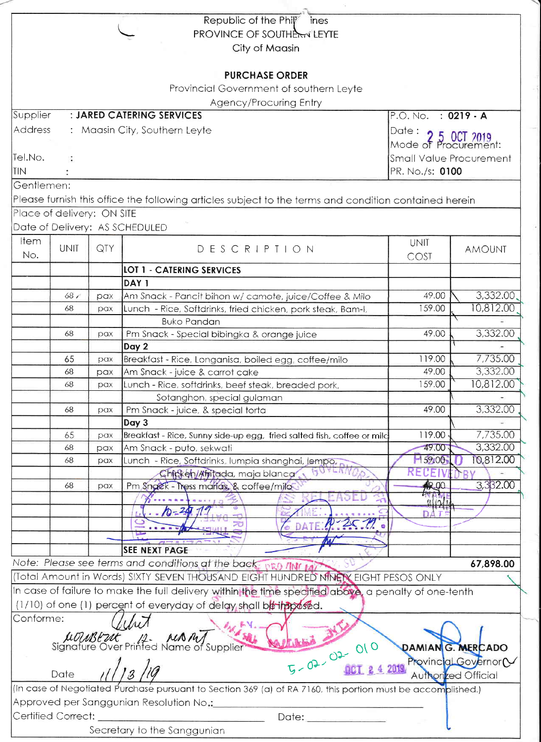|            |                            |                                            | Republic of the Phil<br>ines                                                                                                                                                   |                                            |                              |
|------------|----------------------------|--------------------------------------------|--------------------------------------------------------------------------------------------------------------------------------------------------------------------------------|--------------------------------------------|------------------------------|
|            |                            |                                            | <b>PROVINCE OF SOUTHERN LEYTE</b>                                                                                                                                              |                                            |                              |
|            |                            |                                            | City of Maasin                                                                                                                                                                 |                                            |                              |
|            |                            |                                            |                                                                                                                                                                                |                                            |                              |
|            |                            |                                            | <b>PURCHASE ORDER</b>                                                                                                                                                          |                                            |                              |
|            |                            |                                            | Provincial Government of southern Leyte                                                                                                                                        |                                            |                              |
|            |                            |                                            | Agency/Procuring Entry                                                                                                                                                         |                                            |                              |
| Supplier   |                            |                                            | : JARED CATERING SERVICES                                                                                                                                                      | P.O. No. : 0219 - A                        |                              |
| Address    |                            |                                            | : Maasin City, Southern Leyte                                                                                                                                                  |                                            |                              |
|            |                            |                                            |                                                                                                                                                                                | Date: 2 5 0CT 2019<br>Mode of Procurement: |                              |
| Tel.No.    |                            |                                            |                                                                                                                                                                                |                                            |                              |
| <b>TIN</b> |                            | Small Value Procurement<br>PR. No./s: 0100 |                                                                                                                                                                                |                                            |                              |
|            |                            |                                            |                                                                                                                                                                                |                                            |                              |
| Gentlemen: |                            |                                            |                                                                                                                                                                                |                                            |                              |
|            |                            |                                            | Please furnish this office the following articles subject to the terms and condition contained herein                                                                          |                                            |                              |
|            | Place of delivery: ON SITE |                                            |                                                                                                                                                                                |                                            |                              |
|            |                            |                                            | Date of Delivery: AS SCHEDULED                                                                                                                                                 |                                            |                              |
| ltem       | <b>UNIT</b>                | QTY                                        | DESCRIPTION                                                                                                                                                                    | UNIT                                       |                              |
| No.        |                            |                                            |                                                                                                                                                                                | COST                                       | <b>AMOUNT</b>                |
|            |                            |                                            | <b>LOT 1 - CATERING SERVICES</b>                                                                                                                                               |                                            |                              |
|            |                            |                                            | DAY <sub>1</sub>                                                                                                                                                               |                                            |                              |
|            | 68 <sub>6</sub>            | pax                                        | Am Snack - Pancit bihon w/ camote, juice/Coffee & Milo                                                                                                                         | 49.00                                      | 3,332.00                     |
|            | 68                         | pax                                        | Lunch - Rice, Softdrinks, fried chicken, pork steak, Bam-I,                                                                                                                    | 159.00                                     | 10,812.00                    |
|            |                            |                                            | <b>Buko Pandan</b>                                                                                                                                                             |                                            |                              |
|            | 68                         | pax                                        | Pm Snack - Special bibingka & orange juice                                                                                                                                     | 49.00                                      | 3,332.00                     |
|            |                            |                                            | Day 2                                                                                                                                                                          |                                            |                              |
|            | 65                         | pax                                        | Breakfast - Rice, Longanisa, boiled egg, coffee/milo                                                                                                                           | 119.00                                     | 7,735.00                     |
|            | 68                         | pax                                        | Am Snack - juice & carrot cake                                                                                                                                                 | 49.00                                      | 3,332.00                     |
|            | 68                         | pax                                        | Lunch - Rice, softdrinks, beef steak, breaded pork,                                                                                                                            | 159.00                                     | 10,812.00                    |
|            |                            |                                            | Sotanghon, special gulaman                                                                                                                                                     |                                            |                              |
|            | 68                         | pax                                        | Pm Snack - juice, & special torta                                                                                                                                              | 49.00                                      | 3,332.00                     |
|            |                            |                                            | Day 3                                                                                                                                                                          |                                            |                              |
|            | 65                         | pax                                        | Breakfast - Rice, Sunny side-up egg, fried salted fish, coffee or mild                                                                                                         | 119.00                                     | 7,735.00                     |
|            | 68                         | pax                                        | Am Snack - puto, sekwati                                                                                                                                                       | 49.00                                      | 3,332.00                     |
|            | 68                         | pax                                        | Lunch - Rice, Softdrinks, lumpia shanghai, lempo,                                                                                                                              | 159.00                                     | 0,812.00                     |
|            |                            |                                            | Chicken/Afritada, maja blanca                                                                                                                                                  | RECE                                       |                              |
|            | 68                         | pax                                        | Pm Snack - Tress marias, & coffee/milo                                                                                                                                         | 12.00                                      | 3,332.00                     |
|            |                            |                                            |                                                                                                                                                                                | 1111                                       |                              |
|            |                            |                                            | $10 - 24$                                                                                                                                                                      |                                            |                              |
|            |                            |                                            |                                                                                                                                                                                |                                            |                              |
|            |                            |                                            |                                                                                                                                                                                |                                            |                              |
|            |                            |                                            | <b>SEE NEXT PAGE</b>                                                                                                                                                           |                                            |                              |
|            |                            |                                            | Note: Please see terms and conditions at the back: pro TINC LAT                                                                                                                |                                            | 67,898.00                    |
|            |                            |                                            | (Total Amount in Words) SIXTY SEVEN THOUSAND EIGHT HUNDRED NINETY EIGHT PESOS ONLY                                                                                             |                                            |                              |
|            |                            |                                            | In case of failure to make the full delivery within the time specified above, a penalty of one-tenth                                                                           |                                            |                              |
|            |                            |                                            | (1/10) of one (1) percent of everyday of delay shall be in aposed.                                                                                                             |                                            |                              |
| Conforme:  |                            |                                            |                                                                                                                                                                                |                                            |                              |
|            |                            |                                            |                                                                                                                                                                                |                                            |                              |
|            |                            |                                            | ne:<br>LUMBEUR MANT                                                                                                                                                            |                                            |                              |
|            |                            |                                            |                                                                                                                                                                                |                                            | DAMIAN <sub>G.</sub> MERCADO |
|            |                            |                                            | $5 - 02 - 02 - 010$<br>11/13/19                                                                                                                                                |                                            | Provincial Governor (V       |
|            | Date                       |                                            |                                                                                                                                                                                |                                            | Authorized Official          |
|            |                            |                                            | (In case of Negotiated Purchase pursuant to Section 369 (a) of RA 7160, this portion must be accomplished.)                                                                    |                                            |                              |
|            |                            |                                            | Approved per Sanggunian Resolution No.:                                                                                                                                        |                                            |                              |
|            | Certified Correct:         |                                            | Date: <b>Date: Date: Date: Date: Date: Date: Date: Date: Date: Date: Date: Date: Date: Date: Date: Date: Date: Date: Date: Date: Date: Date: Date: Date: Date: Date: Date:</b> |                                            |                              |
|            |                            |                                            | Secretary to the Sanggunian                                                                                                                                                    |                                            |                              |
|            |                            |                                            |                                                                                                                                                                                |                                            |                              |